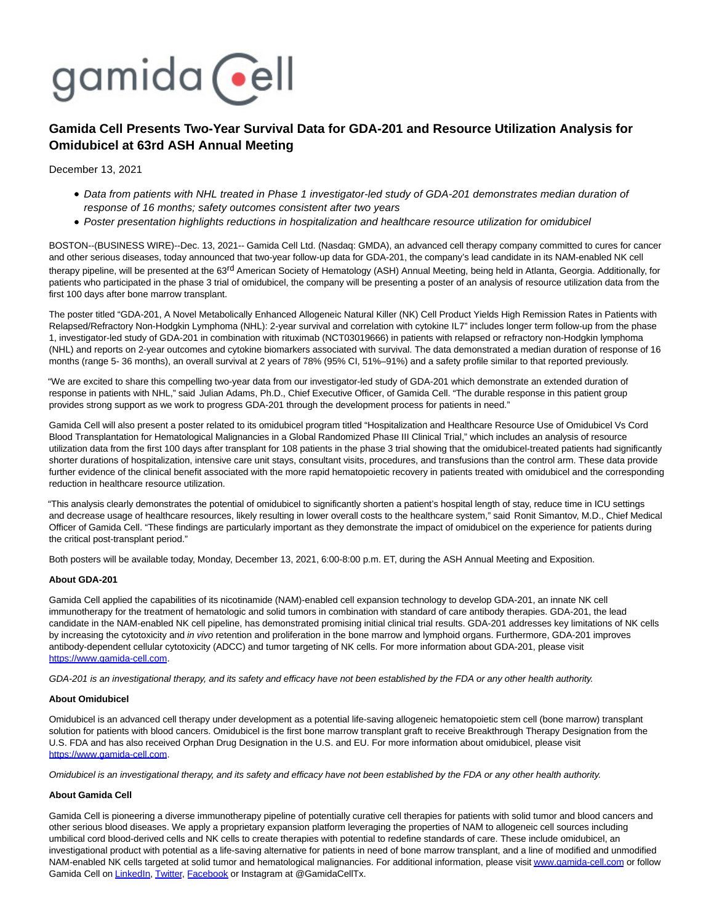

# **Gamida Cell Presents Two-Year Survival Data for GDA-201 and Resource Utilization Analysis for Omidubicel at 63rd ASH Annual Meeting**

December 13, 2021

- Data from patients with NHL treated in Phase 1 investigator-led study of GDA-201 demonstrates median duration of response of 16 months; safety outcomes consistent after two years
- Poster presentation highlights reductions in hospitalization and healthcare resource utilization for omidubicel

BOSTON--(BUSINESS WIRE)--Dec. 13, 2021-- Gamida Cell Ltd. (Nasdaq: GMDA), an advanced cell therapy company committed to cures for cancer and other serious diseases, today announced that two-year follow-up data for GDA-201, the company's lead candidate in its NAM-enabled NK cell therapy pipeline, will be presented at the 63<sup>rd</sup> American Society of Hematology (ASH) Annual Meeting, being held in Atlanta, Georgia. Additionally, for patients who participated in the phase 3 trial of omidubicel, the company will be presenting a poster of an analysis of resource utilization data from the first 100 days after bone marrow transplant.

The poster titled "GDA-201, A Novel Metabolically Enhanced Allogeneic Natural Killer (NK) Cell Product Yields High Remission Rates in Patients with Relapsed/Refractory Non-Hodgkin Lymphoma (NHL): 2-year survival and correlation with cytokine IL7" includes longer term follow-up from the phase 1, investigator-led study of GDA-201 in combination with rituximab (NCT03019666) in patients with relapsed or refractory non-Hodgkin lymphoma (NHL) and reports on 2-year outcomes and cytokine biomarkers associated with survival. The data demonstrated a median duration of response of 16 months (range 5- 36 months), an overall survival at 2 years of 78% (95% CI, 51%–91%) and a safety profile similar to that reported previously.

"We are excited to share this compelling two-year data from our investigator-led study of GDA-201 which demonstrate an extended duration of response in patients with NHL," said Julian Adams, Ph.D., Chief Executive Officer, of Gamida Cell. "The durable response in this patient group provides strong support as we work to progress GDA-201 through the development process for patients in need."

Gamida Cell will also present a poster related to its omidubicel program titled "Hospitalization and Healthcare Resource Use of Omidubicel Vs Cord Blood Transplantation for Hematological Malignancies in a Global Randomized Phase III Clinical Trial," which includes an analysis of resource utilization data from the first 100 days after transplant for 108 patients in the phase 3 trial showing that the omidubicel-treated patients had significantly shorter durations of hospitalization, intensive care unit stays, consultant visits, procedures, and transfusions than the control arm. These data provide further evidence of the clinical benefit associated with the more rapid hematopoietic recovery in patients treated with omidubicel and the corresponding reduction in healthcare resource utilization.

"This analysis clearly demonstrates the potential of omidubicel to significantly shorten a patient's hospital length of stay, reduce time in ICU settings and decrease usage of healthcare resources, likely resulting in lower overall costs to the healthcare system," said Ronit Simantov, M.D., Chief Medical Officer of Gamida Cell. "These findings are particularly important as they demonstrate the impact of omidubicel on the experience for patients during the critical post-transplant period."

Both posters will be available today, Monday, December 13, 2021, 6:00-8:00 p.m. ET, during the ASH Annual Meeting and Exposition.

#### **About GDA-201**

Gamida Cell applied the capabilities of its nicotinamide (NAM)-enabled cell expansion technology to develop GDA-201, an innate NK cell immunotherapy for the treatment of hematologic and solid tumors in combination with standard of care antibody therapies. GDA-201, the lead candidate in the NAM-enabled NK cell pipeline, has demonstrated promising initial clinical trial results. GDA-201 addresses key limitations of NK cells by increasing the cytotoxicity and in vivo retention and proliferation in the bone marrow and lymphoid organs. Furthermore, GDA-201 improves antibody-dependent cellular cytotoxicity (ADCC) and tumor targeting of NK cells. For more information about GDA-201, please visit [https://www.gamida-cell.com.](https://cts.businesswire.com/ct/CT?id=smartlink&url=https%3A%2F%2Fwww.gamida-cell.com&esheet=52549056&newsitemid=20211213005155&lan=en-US&anchor=https%3A%2F%2Fwww.gamida-cell.com&index=1&md5=0a4a7d09c9c4bc31cfcd647db97d9334)

GDA-201 is an investigational therapy, and its safety and efficacy have not been established by the FDA or any other health authority.

## **About Omidubicel**

Omidubicel is an advanced cell therapy under development as a potential life-saving allogeneic hematopoietic stem cell (bone marrow) transplant solution for patients with blood cancers. Omidubicel is the first bone marrow transplant graft to receive Breakthrough Therapy Designation from the U.S. FDA and has also received Orphan Drug Designation in the U.S. and EU. For more information about omidubicel, please visit [https://www.gamida-cell.com.](https://cts.businesswire.com/ct/CT?id=smartlink&url=https%3A%2F%2Fwww.gamida-cell.com&esheet=52549056&newsitemid=20211213005155&lan=en-US&anchor=https%3A%2F%2Fwww.gamida-cell.com&index=2&md5=f6e80e4ff5c7f8c8547262c746b8e842)

Omidubicel is an investigational therapy, and its safety and efficacy have not been established by the FDA or any other health authority.

#### **About Gamida Cell**

Gamida Cell is pioneering a diverse immunotherapy pipeline of potentially curative cell therapies for patients with solid tumor and blood cancers and other serious blood diseases. We apply a proprietary expansion platform leveraging the properties of NAM to allogeneic cell sources including umbilical cord blood-derived cells and NK cells to create therapies with potential to redefine standards of care. These include omidubicel, an investigational product with potential as a life-saving alternative for patients in need of bone marrow transplant, and a line of modified and unmodified NAM-enabled NK cells targeted at solid tumor and hematological malignancies. For additional information, please visi[t www.gamida-cell.com o](https://cts.businesswire.com/ct/CT?id=smartlink&url=http%3A%2F%2Fwww.gamida-cell.com%2F&esheet=52549056&newsitemid=20211213005155&lan=en-US&anchor=www.gamida-cell.com&index=3&md5=3f311b83ef045fd10d04c2576ace93aa)r follow Gamida Cell on [LinkedIn,](https://cts.businesswire.com/ct/CT?id=smartlink&url=https%3A%2F%2Fwww.linkedin.com%2Fcompany%2Fgamida-cell-ltd-%2F&esheet=52549056&newsitemid=20211213005155&lan=en-US&anchor=LinkedIn&index=4&md5=e2ff39f73d8745dceec25087d35878ab) [Twitter,](https://cts.businesswire.com/ct/CT?id=smartlink&url=https%3A%2F%2Ftwitter.com%2FGamidaCellTx&esheet=52549056&newsitemid=20211213005155&lan=en-US&anchor=Twitter&index=5&md5=5f1cd84c317b39365f917bc149f28d54) [Facebook o](https://cts.businesswire.com/ct/CT?id=smartlink&url=https%3A%2F%2Fwww.facebook.com%2FGamidaCellLtd&esheet=52549056&newsitemid=20211213005155&lan=en-US&anchor=Facebook&index=6&md5=7b903430e52199fc4a989ff28d604c58)r Instagram at @GamidaCellTx.